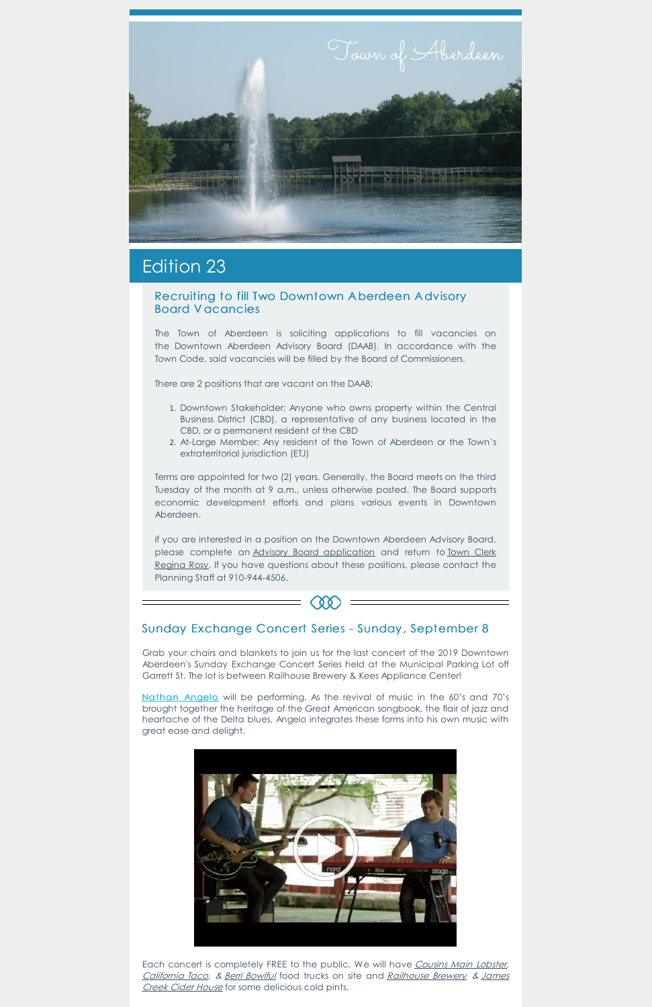

# Edition 23

#### Recruiting to fill Two Downtown A berdeen A dvisory Board V acancies

The Town of Aberdeen is soliciting applications to fill vacancies on the Downtown Aberdeen Advisory Board (DAAB). In accordance with the Town Code, said vacancies will be filled by the Board of Commissioners.

There are 2 positions that are vacant on the DAAB:

- 1. Downtown Stakeholder: Anyone who owns property within the Central Business District (CBD), a representative of any business located in the CBD, or a permanent resident of the CBD
- 2. At-Large Member: Any resident of the Town of Aberdeen or the Town's extraterritorial jurisdiction (ETJ)

Terms are appointed for two (2) years. Generally, the Board meets on the third Tuesday of the month at 9 a.m., unless otherwise posted. The Board supports economic development efforts and plans various events in Downtown Aberdeen.

If you are interested in a position on the Downtown Aberdeen Advisory Board, please complete an Advisory Board [application](mailto:rrosy@townofaberdeen.net) and return to Town Clerk Regina Rosy. If you have questions about these positions, please contact the Planning Staff at 910-944-4506.



## Sunday Exchange Concert Series - Sunday , September 8

Grab your chairs and blankets to join us for the last concert of the 2019 Downtown Aberdeen's Sunday Exchange Concert Series held at the Municipal Parking Lot off Garrett St. The lot is between Railhouse Brewery & Kees Appliance Center!

[Nathan](https://www.youtube.com/watch?v=HrHf6OW265g&feature=youtu.be&fbclid=IwAR3eVJJ0fTR_ZEMNY1v7QCyWNTWcXH7HazfbF9EJDNrJFyRwr9Ht74jL1zY) Angelo will be performing. As the revival of music in the 60's and 70's brought together the heritage of the Great American songbook, the flair of jazz and heartache of the Delta blues, Angelo integrates these forms into his own music with great ease and delight.



Each concert is completely FREE to the public. We will have [Cousins](https://www.facebook.com/CousinsMaineLobster/) Main Lobster, [California](https://www.facebook.com/californiataconc/) Taco, & Berri [Bowlful](https://www.facebook.com/BBowlful/) food trucks on site and [Railhouse](https://www.facebook.com/railhouse.brewery.7/) Brewery & James Creek Cider House for some [delicious](https://www.facebook.com/jamescreekciderhouse/) cold pints.